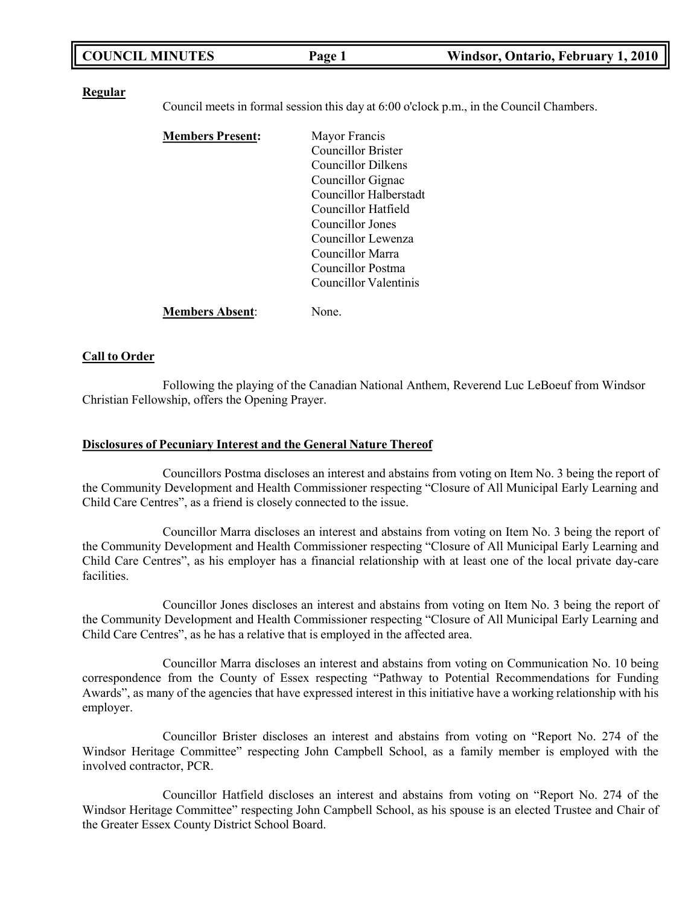| <b>COUNCIL MINUTES</b> | Page 1 | Windsor, Ontario, February 1, 2010 |
|------------------------|--------|------------------------------------|
|------------------------|--------|------------------------------------|

#### **Regular**

Council meets in formal session this day at 6:00 o'clock p.m., in the Council Chambers.

| <b>Members Present:</b> | Mayor Francis          |
|-------------------------|------------------------|
|                         | Councillor Brister     |
|                         | Councillor Dilkens     |
|                         | Councillor Gignac      |
|                         | Councillor Halberstadt |
|                         | Councillor Hatfield    |
|                         | Councillor Jones       |
|                         | Councillor Lewenza     |
|                         | Councillor Marra       |
|                         | Councillor Postma      |
|                         | Councillor Valentinis  |
| <b>Members Absent:</b>  | None.                  |

#### **Call to Order**

Following the playing of the Canadian National Anthem, Reverend Luc LeBoeuf from Windsor Christian Fellowship, offers the Opening Prayer.

#### **Disclosures of Pecuniary Interest and the General Nature Thereof**

Councillors Postma discloses an interest and abstains from voting on Item No. 3 being the report of the Community Development and Health Commissioner respecting "Closure of All Municipal Early Learning and Child Care Centres", as a friend is closely connected to the issue.

Councillor Marra discloses an interest and abstains from voting on Item No. 3 being the report of the Community Development and Health Commissioner respecting "Closure of All Municipal Early Learning and Child Care Centres", as his employer has a financial relationship with at least one of the local private day-care facilities.

Councillor Jones discloses an interest and abstains from voting on Item No. 3 being the report of the Community Development and Health Commissioner respecting "Closure of All Municipal Early Learning and Child Care Centres", as he has a relative that is employed in the affected area.

Councillor Marra discloses an interest and abstains from voting on Communication No. 10 being correspondence from the County of Essex respecting "Pathway to Potential Recommendations for Funding Awards", as many of the agencies that have expressed interest in this initiative have a working relationship with his employer.

Councillor Brister discloses an interest and abstains from voting on "Report No. 274 of the Windsor Heritage Committee" respecting John Campbell School, as a family member is employed with the involved contractor, PCR.

Councillor Hatfield discloses an interest and abstains from voting on "Report No. 274 of the Windsor Heritage Committee" respecting John Campbell School, as his spouse is an elected Trustee and Chair of the Greater Essex County District School Board.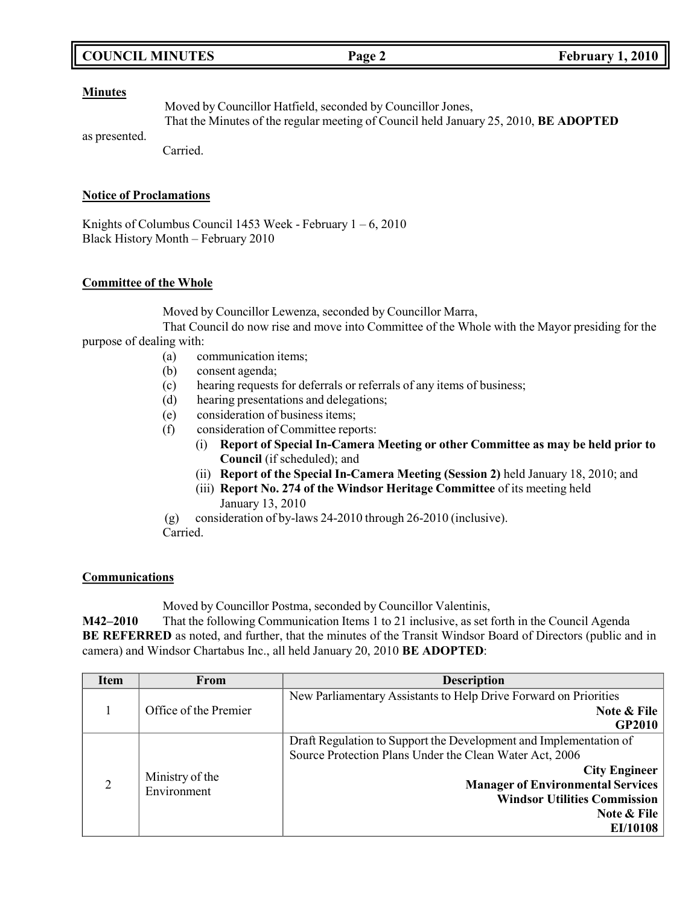## **COUNCIL MINUTES Page 2 February 1, 2010**

#### **Minutes**

Moved by Councillor Hatfield, seconded by Councillor Jones, That the Minutes of the regular meeting of Council held January 25, 2010, **BE ADOPTED**

as presented.

Carried.

### **Notice of Proclamations**

Knights of Columbus Council 1453 Week - February  $1 - 6$ , 2010 Black History Month – February 2010

### **Committee of the Whole**

Moved by Councillor Lewenza, seconded by Councillor Marra,

That Council do now rise and move into Committee of the Whole with the Mayor presiding for the purpose of dealing with:

- (a) communication items;
- (b) consent agenda;
- (c) hearing requests for deferrals or referrals of any items of business;
- (d) hearing presentations and delegations;
- (e) consideration of business items;
- (f) consideration of Committee reports:
	- (i) **Report of Special In-Camera Meeting or other Committee as may be held prior to Council** (if scheduled); and
	- (ii) **Report of the Special In-Camera Meeting (Session 2)** held January 18, 2010; and
	- (iii) **Report No. 274 of the Windsor Heritage Committee** of its meeting held January 13, 2010
- (g) consideration of by-laws 24-2010 through 26-2010 (inclusive).
- Carried.

## **Communications**

Moved by Councillor Postma, seconded by Councillor Valentinis,

**M42–2010** That the following Communication Items 1 to 21 inclusive, as set forth in the Council Agenda **BE REFERRED** as noted, and further, that the minutes of the Transit Windsor Board of Directors (public and in camera) and Windsor Chartabus Inc., all held January 20, 2010 **BE ADOPTED**:

| <b>Item</b>    | From                           | <b>Description</b>                                                                                                                                                                                                                                                 |
|----------------|--------------------------------|--------------------------------------------------------------------------------------------------------------------------------------------------------------------------------------------------------------------------------------------------------------------|
|                |                                | New Parliamentary Assistants to Help Drive Forward on Priorities                                                                                                                                                                                                   |
|                | Office of the Premier          | Note & File<br><b>GP2010</b>                                                                                                                                                                                                                                       |
| $\overline{2}$ | Ministry of the<br>Environment | Draft Regulation to Support the Development and Implementation of<br>Source Protection Plans Under the Clean Water Act, 2006<br><b>City Engineer</b><br><b>Manager of Environmental Services</b><br><b>Windsor Utilities Commission</b><br>Note & File<br>EI/10108 |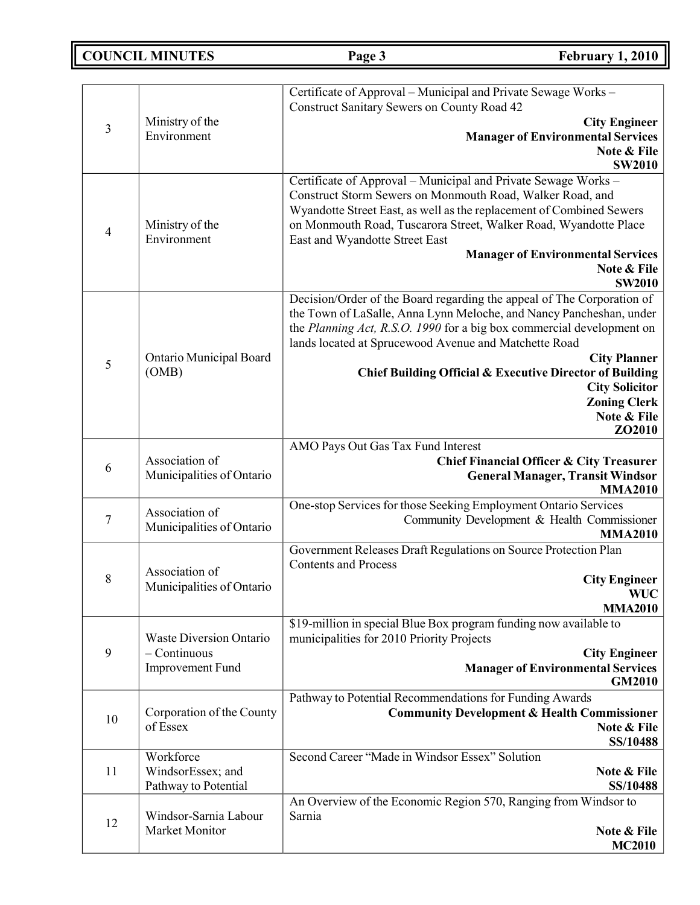**COUNCIL MINUTES Page 3 February 1, 2010**

|                               | Ministry of the                                                                                                                                                                                                                                                                 | Certificate of Approval - Municipal and Private Sewage Works -<br><b>Construct Sanitary Sewers on County Road 42</b><br><b>City Engineer</b>                                                                                                                                                              |
|-------------------------------|---------------------------------------------------------------------------------------------------------------------------------------------------------------------------------------------------------------------------------------------------------------------------------|-----------------------------------------------------------------------------------------------------------------------------------------------------------------------------------------------------------------------------------------------------------------------------------------------------------|
| $\mathfrak{Z}$<br>Environment | <b>Manager of Environmental Services</b><br>Note & File<br><b>SW2010</b>                                                                                                                                                                                                        |                                                                                                                                                                                                                                                                                                           |
| $\overline{4}$                | Ministry of the<br>Environment                                                                                                                                                                                                                                                  | Certificate of Approval - Municipal and Private Sewage Works -<br>Construct Storm Sewers on Monmouth Road, Walker Road, and<br>Wyandotte Street East, as well as the replacement of Combined Sewers<br>on Monmouth Road, Tuscarora Street, Walker Road, Wyandotte Place<br>East and Wyandotte Street East |
|                               |                                                                                                                                                                                                                                                                                 | <b>Manager of Environmental Services</b><br>Note & File<br><b>SW2010</b>                                                                                                                                                                                                                                  |
|                               | Decision/Order of the Board regarding the appeal of The Corporation of<br>the Town of LaSalle, Anna Lynn Meloche, and Nancy Pancheshan, under<br>the Planning Act, R.S.O. 1990 for a big box commercial development on<br>lands located at Sprucewood Avenue and Matchette Road |                                                                                                                                                                                                                                                                                                           |
| 5                             | Ontario Municipal Board<br>(OMB)                                                                                                                                                                                                                                                | <b>City Planner</b><br><b>Chief Building Official &amp; Executive Director of Building</b>                                                                                                                                                                                                                |
|                               |                                                                                                                                                                                                                                                                                 | <b>City Solicitor</b><br><b>Zoning Clerk</b>                                                                                                                                                                                                                                                              |
|                               |                                                                                                                                                                                                                                                                                 | Note & File<br>ZO2010                                                                                                                                                                                                                                                                                     |
| 6                             | Association of<br>Municipalities of Ontario                                                                                                                                                                                                                                     | AMO Pays Out Gas Tax Fund Interest<br>Chief Financial Officer & City Treasurer<br><b>General Manager, Transit Windsor</b><br><b>MMA2010</b>                                                                                                                                                               |
| $\boldsymbol{7}$              | Association of<br>Municipalities of Ontario                                                                                                                                                                                                                                     | One-stop Services for those Seeking Employment Ontario Services<br>Community Development & Health Commissioner<br><b>MMA2010</b>                                                                                                                                                                          |
| 8                             | Association of<br>Municipalities of Ontario                                                                                                                                                                                                                                     | Government Releases Draft Regulations on Source Protection Plan<br><b>Contents and Process</b><br><b>City Engineer</b><br><b>WUC</b><br><b>MMA2010</b>                                                                                                                                                    |
| 9                             | Waste Diversion Ontario<br>$-$ Continuous<br>Improvement Fund                                                                                                                                                                                                                   | \$19-million in special Blue Box program funding now available to<br>municipalities for 2010 Priority Projects<br><b>City Engineer</b><br><b>Manager of Environmental Services</b><br><b>GM2010</b>                                                                                                       |
| 10                            | Corporation of the County<br>of Essex                                                                                                                                                                                                                                           | Pathway to Potential Recommendations for Funding Awards<br><b>Community Development &amp; Health Commissioner</b><br>Note & File<br>SS/10488                                                                                                                                                              |
| 11                            | Workforce<br>WindsorEssex; and<br>Pathway to Potential                                                                                                                                                                                                                          | Second Career "Made in Windsor Essex" Solution<br>Note & File<br>SS/10488                                                                                                                                                                                                                                 |
| 12                            | Windsor-Sarnia Labour<br>Market Monitor                                                                                                                                                                                                                                         | An Overview of the Economic Region 570, Ranging from Windsor to<br>Sarnia<br>Note & File<br><b>MC2010</b>                                                                                                                                                                                                 |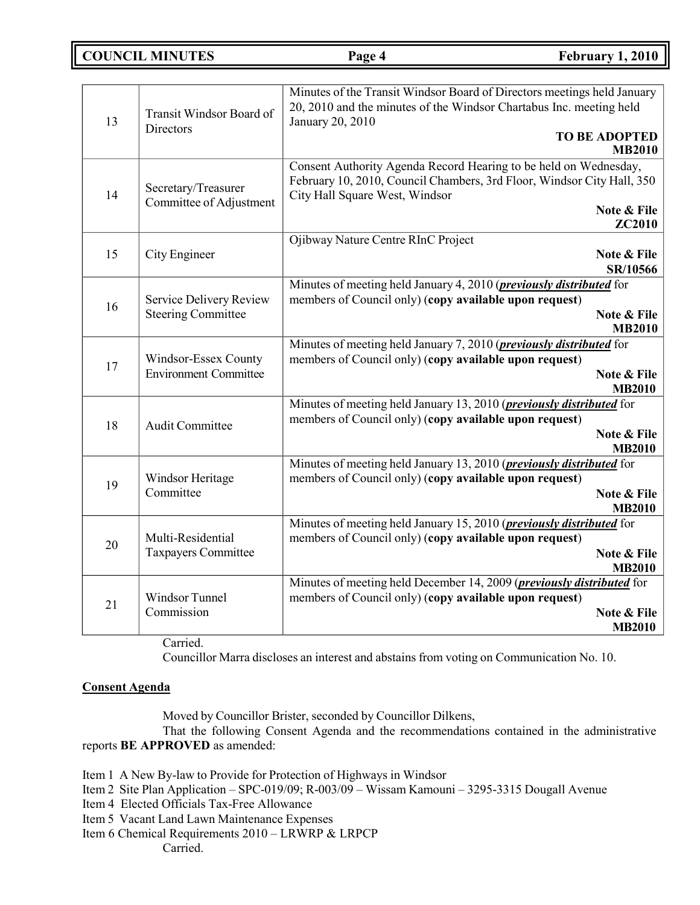## **COUNCIL MINUTES Page 4 February 1, 2010**

| 13 | Transit Windsor Board of<br>Directors                | Minutes of the Transit Windsor Board of Directors meetings held January<br>20, 2010 and the minutes of the Windsor Chartabus Inc. meeting held<br>January 20, 2010<br><b>TO BE ADOPTED</b><br><b>MB2010</b>  |
|----|------------------------------------------------------|--------------------------------------------------------------------------------------------------------------------------------------------------------------------------------------------------------------|
| 14 | Secretary/Treasurer<br>Committee of Adjustment       | Consent Authority Agenda Record Hearing to be held on Wednesday,<br>February 10, 2010, Council Chambers, 3rd Floor, Windsor City Hall, 350<br>City Hall Square West, Windsor<br>Note & File<br><b>ZC2010</b> |
| 15 | City Engineer                                        | Ojibway Nature Centre RInC Project<br>Note & File<br>SR/10566                                                                                                                                                |
| 16 | Service Delivery Review<br><b>Steering Committee</b> | Minutes of meeting held January 4, 2010 ( <i>previously distributed</i> for<br>members of Council only) (copy available upon request)<br>Note & File<br><b>MB2010</b>                                        |
| 17 | Windsor-Essex County<br><b>Environment Committee</b> | Minutes of meeting held January 7, 2010 ( <i>previously distributed</i> for<br>members of Council only) (copy available upon request)<br>Note & File<br><b>MB2010</b>                                        |
| 18 | Audit Committee                                      | Minutes of meeting held January 13, 2010 ( <i>previously distributed</i> for<br>members of Council only) (copy available upon request)<br>Note & File<br><b>MB2010</b>                                       |
| 19 | Windsor Heritage<br>Committee                        | Minutes of meeting held January 13, 2010 ( <i>previously distributed</i> for<br>members of Council only) (copy available upon request)<br>Note & File<br><b>MB2010</b>                                       |
| 20 | Multi-Residential<br>Taxpayers Committee             | Minutes of meeting held January 15, 2010 ( <i>previously distributed</i> for<br>members of Council only) (copy available upon request)<br>Note & File<br><b>MB2010</b>                                       |
| 21 | Windsor Tunnel<br>Commission                         | Minutes of meeting held December 14, 2009 ( <i>previously distributed</i> for<br>members of Council only) (copy available upon request)<br>Note & File<br><b>MB2010</b>                                      |

Carried.

Councillor Marra discloses an interest and abstains from voting on Communication No. 10.

## **Consent Agenda**

Moved by Councillor Brister, seconded by Councillor Dilkens,

That the following Consent Agenda and the recommendations contained in the administrative reports **BE APPROVED** as amended:

Item 1 A New By-law to Provide for Protection of Highways in Windsor

- Item 2 Site Plan Application SPC-019/09; R-003/09 Wissam Kamouni 3295-3315 Dougall Avenue
- Item 4 Elected Officials Tax-Free Allowance
- Item 5 Vacant Land Lawn Maintenance Expenses
- Item 6 Chemical Requirements 2010 LRWRP & LRPCP

Carried.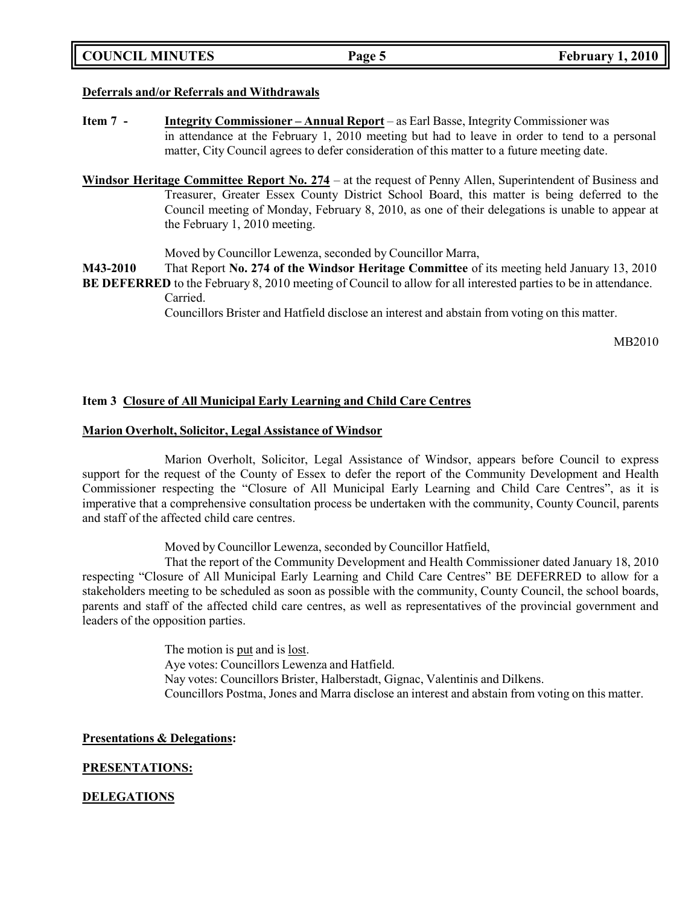## **Deferrals and/or Referrals and Withdrawals**

- **Item 7 - Integrity Commissioner – Annual Report** as Earl Basse, Integrity Commissioner was in attendance at the February 1, 2010 meeting but had to leave in order to tend to a personal matter, City Council agrees to defer consideration of this matter to a future meeting date.
- **Windsor Heritage Committee Report No. 274** at the request of Penny Allen, Superintendent of Business and Treasurer, Greater Essex County District School Board, this matter is being deferred to the Council meeting of Monday, February 8, 2010, as one of their delegations is unable to appear at the February 1, 2010 meeting.

Moved by Councillor Lewenza, seconded by Councillor Marra,

**M43-2010** That Report **No. 274 of the Windsor Heritage Committee** of its meeting held January 13, 2010

**BE DEFERRED** to the February 8, 2010 meeting of Council to allow for all interested parties to be in attendance. Carried.

Councillors Brister and Hatfield disclose an interest and abstain from voting on this matter.

MB2010

## **Item 3 Closure of All Municipal Early Learning and Child Care Centres**

## **Marion Overholt, Solicitor, Legal Assistance of Windsor**

Marion Overholt, Solicitor, Legal Assistance of Windsor, appears before Council to express support for the request of the County of Essex to defer the report of the Community Development and Health Commissioner respecting the "Closure of All Municipal Early Learning and Child Care Centres", as it is imperative that a comprehensive consultation process be undertaken with the community, County Council, parents and staff of the affected child care centres.

Moved by Councillor Lewenza, seconded by Councillor Hatfield,

That the report of the Community Development and Health Commissioner dated January 18, 2010 respecting "Closure of All Municipal Early Learning and Child Care Centres" BE DEFERRED to allow for a stakeholders meeting to be scheduled as soon as possible with the community, County Council, the school boards, parents and staff of the affected child care centres, as well as representatives of the provincial government and leaders of the opposition parties.

> The motion is put and is <u>lost</u>. Aye votes: Councillors Lewenza and Hatfield. Nay votes: Councillors Brister, Halberstadt, Gignac, Valentinis and Dilkens. Councillors Postma, Jones and Marra disclose an interest and abstain from voting on this matter.

## **Presentations & Delegations:**

## **PRESENTATIONS:**

## **DELEGATIONS**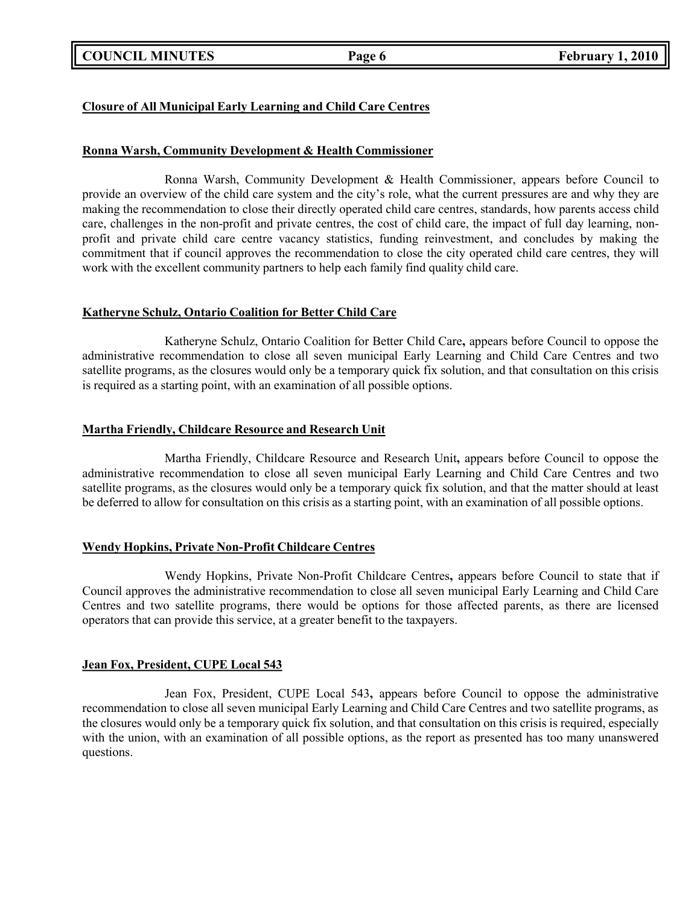## **COUNCIL MINUTES Page 6 February 1, 2010**

## **Closure of All Municipal Early Learning and Child Care Centres**

### **Ronna Warsh, Community Development & Health Commissioner**

Ronna Warsh, Community Development & Health Commissioner, appears before Council to provide an overview of the child care system and the city's role, what the current pressures are and why they are making the recommendation to close their directly operated child care centres, standards, how parents access child care, challenges in the non-profit and private centres, the cost of child care, the impact of full day learning, nonprofit and private child care centre vacancy statistics, funding reinvestment, and concludes by making the commitment that if council approves the recommendation to close the city operated child care centres, they will work with the excellent community partners to help each family find quality child care.

#### **Katheryne Schulz, Ontario Coalition for Better Child Care**

Katheryne Schulz, Ontario Coalition for Better Child Care**,** appears before Council to oppose the administrative recommendation to close all seven municipal Early Learning and Child Care Centres and two satellite programs, as the closures would only be a temporary quick fix solution, and that consultation on this crisis is required as a starting point, with an examination of all possible options.

### **Martha Friendly, Childcare Resource and Research Unit**

Martha Friendly, Childcare Resource and Research Unit**,** appears before Council to oppose the administrative recommendation to close all seven municipal Early Learning and Child Care Centres and two satellite programs, as the closures would only be a temporary quick fix solution, and that the matter should at least be deferred to allow for consultation on this crisis as a starting point, with an examination of all possible options.

## **Wendy Hopkins, Private Non-Profit Childcare Centres**

Wendy Hopkins, Private Non-Profit Childcare Centres**,** appears before Council to state that if Council approves the administrative recommendation to close all seven municipal Early Learning and Child Care Centres and two satellite programs, there would be options for those affected parents, as there are licensed operators that can provide this service, at a greater benefit to the taxpayers.

## **Jean Fox, President, CUPE Local 543**

Jean Fox, President, CUPE Local 543**,** appears before Council to oppose the administrative recommendation to close all seven municipal Early Learning and Child Care Centres and two satellite programs, as the closures would only be a temporary quick fix solution, and that consultation on this crisis is required, especially with the union, with an examination of all possible options, as the report as presented has too many unanswered questions.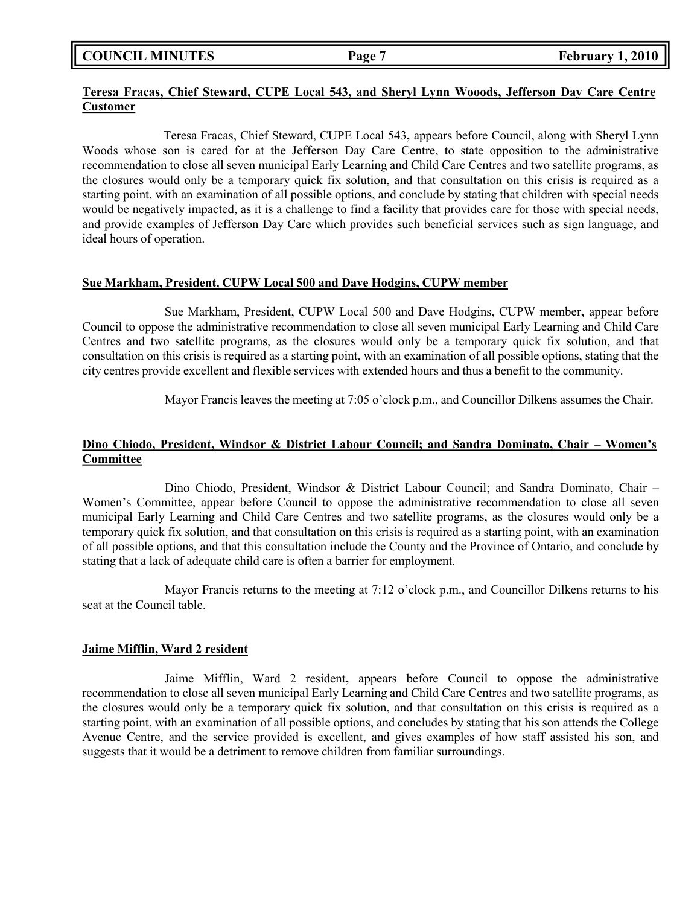**COUNCIL MINUTES Page 7 February 1, 2010**

## **Teresa Fracas, Chief Steward, CUPE Local 543, and Sheryl Lynn Wooods, Jefferson Day Care Centre Customer**

Teresa Fracas, Chief Steward, CUPE Local 543**,** appears before Council, along with Sheryl Lynn Woods whose son is cared for at the Jefferson Day Care Centre, to state opposition to the administrative recommendation to close all seven municipal Early Learning and Child Care Centres and two satellite programs, as the closures would only be a temporary quick fix solution, and that consultation on this crisis is required as a starting point, with an examination of all possible options, and conclude by stating that children with special needs would be negatively impacted, as it is a challenge to find a facility that provides care for those with special needs, and provide examples of Jefferson Day Care which provides such beneficial services such as sign language, and ideal hours of operation.

### **Sue Markham, President, CUPW Local 500 and Dave Hodgins, CUPW member**

Sue Markham, President, CUPW Local 500 and Dave Hodgins, CUPW member**,** appear before Council to oppose the administrative recommendation to close all seven municipal Early Learning and Child Care Centres and two satellite programs, as the closures would only be a temporary quick fix solution, and that consultation on this crisis is required as a starting point, with an examination of all possible options, stating that the city centres provide excellent and flexible services with extended hours and thus a benefit to the community.

Mayor Francis leaves the meeting at 7:05 o'clock p.m., and Councillor Dilkens assumes the Chair.

## **Dino Chiodo, President, Windsor & District Labour Council; and Sandra Dominato, Chair – Women's Committee**

Dino Chiodo, President, Windsor & District Labour Council; and Sandra Dominato, Chair – Women's Committee, appear before Council to oppose the administrative recommendation to close all seven municipal Early Learning and Child Care Centres and two satellite programs, as the closures would only be a temporary quick fix solution, and that consultation on this crisis is required as a starting point, with an examination of all possible options, and that this consultation include the County and the Province of Ontario, and conclude by stating that a lack of adequate child care is often a barrier for employment.

Mayor Francis returns to the meeting at 7:12 o'clock p.m., and Councillor Dilkens returns to his seat at the Council table.

#### **Jaime Mifflin, Ward 2 resident**

Jaime Mifflin, Ward 2 resident**,** appears before Council to oppose the administrative recommendation to close all seven municipal Early Learning and Child Care Centres and two satellite programs, as the closures would only be a temporary quick fix solution, and that consultation on this crisis is required as a starting point, with an examination of all possible options, and concludes by stating that his son attends the College Avenue Centre, and the service provided is excellent, and gives examples of how staff assisted his son, and suggests that it would be a detriment to remove children from familiar surroundings.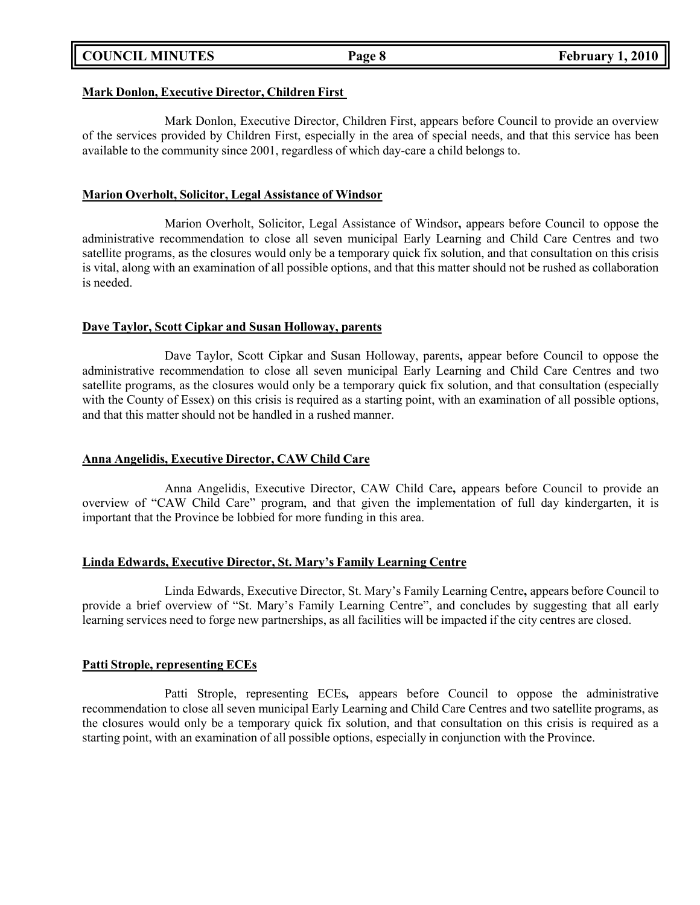## **COUNCIL MINUTES Page 8 February 1, 2010**

#### **Mark Donlon, Executive Director, Children First**

Mark Donlon, Executive Director, Children First, appears before Council to provide an overview of the services provided by Children First, especially in the area of special needs, and that this service has been available to the community since 2001, regardless of which day-care a child belongs to.

## **Marion Overholt, Solicitor, Legal Assistance of Windsor**

Marion Overholt, Solicitor, Legal Assistance of Windsor**,** appears before Council to oppose the administrative recommendation to close all seven municipal Early Learning and Child Care Centres and two satellite programs, as the closures would only be a temporary quick fix solution, and that consultation on this crisis is vital, along with an examination of all possible options, and that this matter should not be rushed as collaboration is needed.

## **Dave Taylor, Scott Cipkar and Susan Holloway, parents**

Dave Taylor, Scott Cipkar and Susan Holloway, parents**,** appear before Council to oppose the administrative recommendation to close all seven municipal Early Learning and Child Care Centres and two satellite programs, as the closures would only be a temporary quick fix solution, and that consultation (especially with the County of Essex) on this crisis is required as a starting point, with an examination of all possible options, and that this matter should not be handled in a rushed manner.

### **Anna Angelidis, Executive Director, CAW Child Care**

Anna Angelidis, Executive Director, CAW Child Care**,** appears before Council to provide an overview of "CAW Child Care" program, and that given the implementation of full day kindergarten, it is important that the Province be lobbied for more funding in this area.

#### **Linda Edwards, Executive Director, St. Mary's Family Learning Centre**

Linda Edwards, Executive Director, St. Mary's Family Learning Centre**,** appears before Council to provide a brief overview of "St. Mary's Family Learning Centre", and concludes by suggesting that all early learning services need to forge new partnerships, as all facilities will be impacted if the city centres are closed.

#### **Patti Strople, representing ECEs**

Patti Strople, representing ECEs*,* appears before Council to oppose the administrative recommendation to close all seven municipal Early Learning and Child Care Centres and two satellite programs, as the closures would only be a temporary quick fix solution, and that consultation on this crisis is required as a starting point, with an examination of all possible options, especially in conjunction with the Province.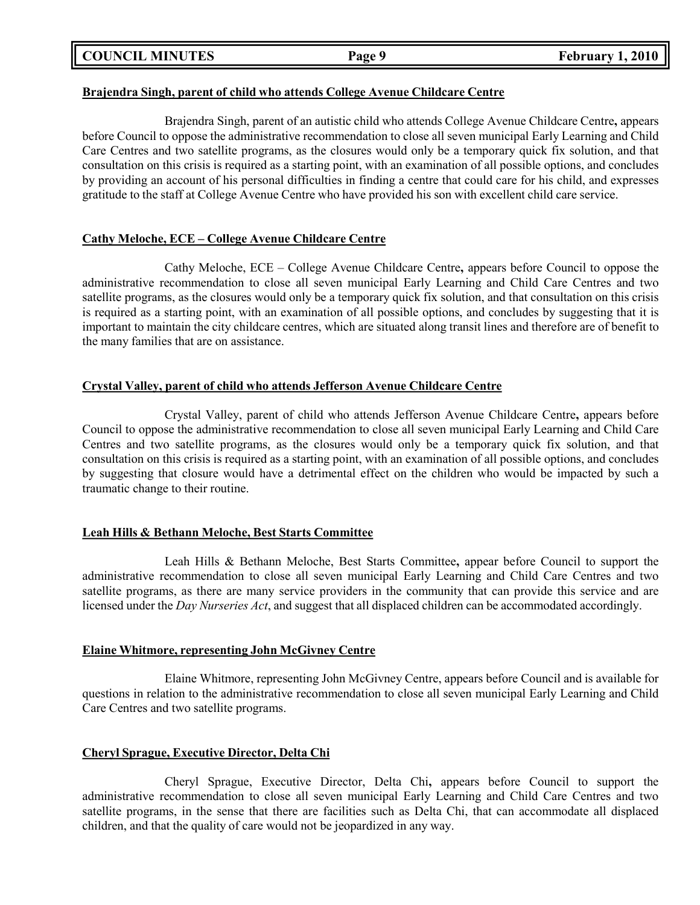**COUNCIL MINUTES Page 9 February 1, 2010**

## **Brajendra Singh, parent of child who attends College Avenue Childcare Centre**

Brajendra Singh, parent of an autistic child who attends College Avenue Childcare Centre**,** appears before Council to oppose the administrative recommendation to close all seven municipal Early Learning and Child Care Centres and two satellite programs, as the closures would only be a temporary quick fix solution, and that consultation on this crisis is required as a starting point, with an examination of all possible options, and concludes by providing an account of his personal difficulties in finding a centre that could care for his child, and expresses gratitude to the staff at College Avenue Centre who have provided his son with excellent child care service.

## **Cathy Meloche, ECE – College Avenue Childcare Centre**

Cathy Meloche, ECE – College Avenue Childcare Centre**,** appears before Council to oppose the administrative recommendation to close all seven municipal Early Learning and Child Care Centres and two satellite programs, as the closures would only be a temporary quick fix solution, and that consultation on this crisis is required as a starting point, with an examination of all possible options, and concludes by suggesting that it is important to maintain the city childcare centres, which are situated along transit lines and therefore are of benefit to the many families that are on assistance.

## **Crystal Valley, parent of child who attends Jefferson Avenue Childcare Centre**

Crystal Valley, parent of child who attends Jefferson Avenue Childcare Centre**,** appears before Council to oppose the administrative recommendation to close all seven municipal Early Learning and Child Care Centres and two satellite programs, as the closures would only be a temporary quick fix solution, and that consultation on this crisis is required as a starting point, with an examination of all possible options, and concludes by suggesting that closure would have a detrimental effect on the children who would be impacted by such a traumatic change to their routine.

## **Leah Hills & Bethann Meloche, Best Starts Committee**

Leah Hills & Bethann Meloche, Best Starts Committee**,** appear before Council to support the administrative recommendation to close all seven municipal Early Learning and Child Care Centres and two satellite programs, as there are many service providers in the community that can provide this service and are licensed under the *Day Nurseries Act*, and suggest that all displaced children can be accommodated accordingly.

## **Elaine Whitmore, representing John McGivney Centre**

Elaine Whitmore, representing John McGivney Centre, appears before Council and is available for questions in relation to the administrative recommendation to close all seven municipal Early Learning and Child Care Centres and two satellite programs.

## **Cheryl Sprague, Executive Director, Delta Chi**

Cheryl Sprague, Executive Director, Delta Chi**,** appears before Council to support the administrative recommendation to close all seven municipal Early Learning and Child Care Centres and two satellite programs, in the sense that there are facilities such as Delta Chi, that can accommodate all displaced children, and that the quality of care would not be jeopardized in any way.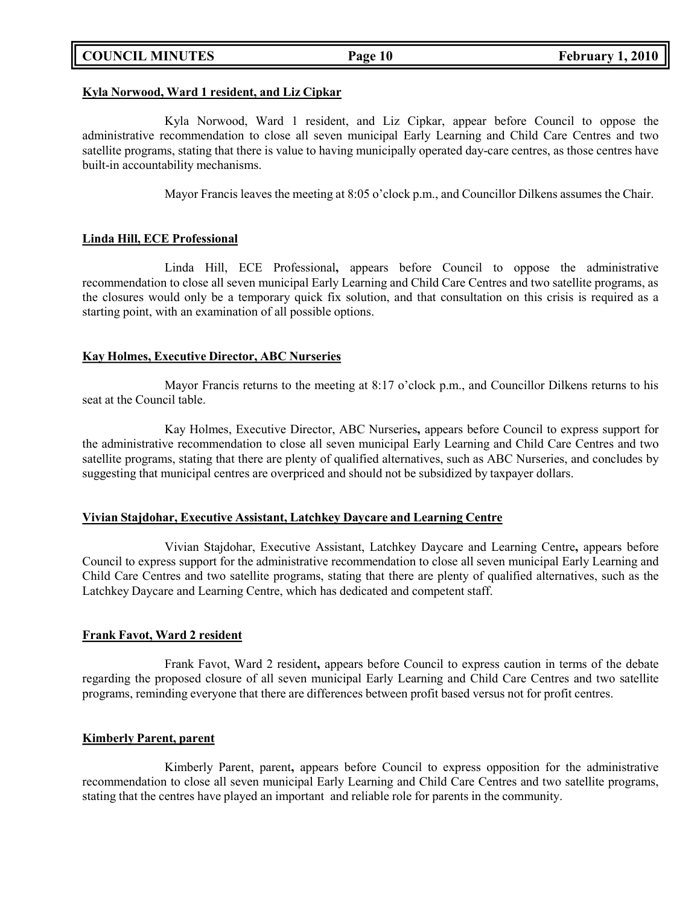### **Kyla Norwood, Ward 1 resident, and Liz Cipkar**

Kyla Norwood, Ward 1 resident, and Liz Cipkar, appear before Council to oppose the administrative recommendation to close all seven municipal Early Learning and Child Care Centres and two satellite programs, stating that there is value to having municipally operated day-care centres, as those centres have built-in accountability mechanisms.

Mayor Francis leaves the meeting at 8:05 o'clock p.m., and Councillor Dilkens assumes the Chair.

## **Linda Hill, ECE Professional**

Linda Hill, ECE Professional**,** appears before Council to oppose the administrative recommendation to close all seven municipal Early Learning and Child Care Centres and two satellite programs, as the closures would only be a temporary quick fix solution, and that consultation on this crisis is required as a starting point, with an examination of all possible options.

## **Kay Holmes, Executive Director, ABC Nurseries**

Mayor Francis returns to the meeting at 8:17 o'clock p.m., and Councillor Dilkens returns to his seat at the Council table.

Kay Holmes, Executive Director, ABC Nurseries**,** appears before Council to express support for the administrative recommendation to close all seven municipal Early Learning and Child Care Centres and two satellite programs, stating that there are plenty of qualified alternatives, such as ABC Nurseries, and concludes by suggesting that municipal centres are overpriced and should not be subsidized by taxpayer dollars.

## **Vivian Stajdohar, Executive Assistant, Latchkey Daycare and Learning Centre**

Vivian Stajdohar, Executive Assistant, Latchkey Daycare and Learning Centre**,** appears before Council to express support for the administrative recommendation to close all seven municipal Early Learning and Child Care Centres and two satellite programs, stating that there are plenty of qualified alternatives, such as the Latchkey Daycare and Learning Centre, which has dedicated and competent staff.

## **Frank Favot, Ward 2 resident**

Frank Favot, Ward 2 resident**,** appears before Council to express caution in terms of the debate regarding the proposed closure of all seven municipal Early Learning and Child Care Centres and two satellite programs, reminding everyone that there are differences between profit based versus not for profit centres.

## **Kimberly Parent, parent**

Kimberly Parent, parent**,** appears before Council to express opposition for the administrative recommendation to close all seven municipal Early Learning and Child Care Centres and two satellite programs, stating that the centres have played an important and reliable role for parents in the community.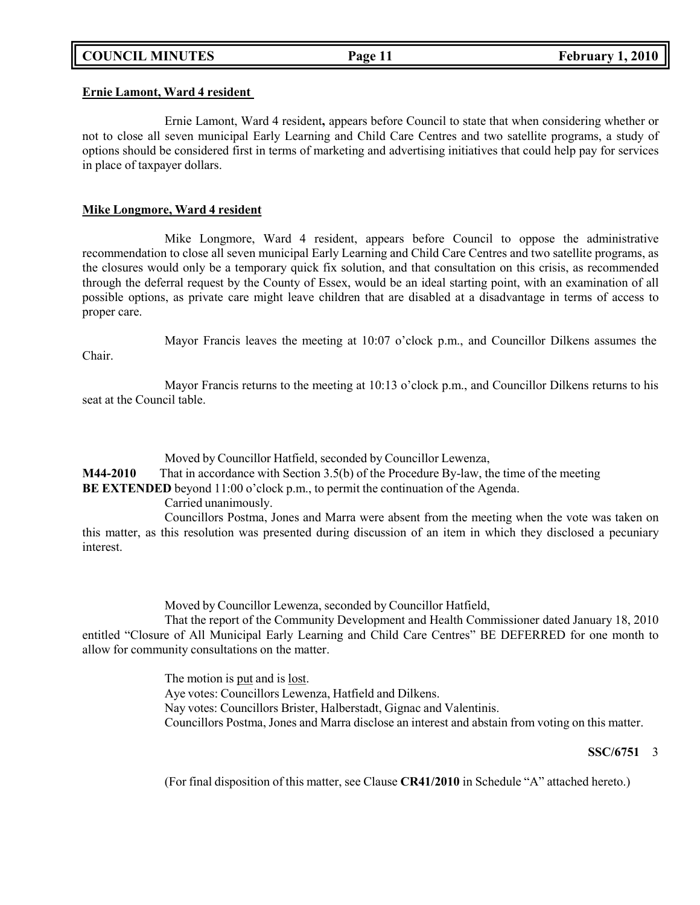#### **Ernie Lamont, Ward 4 resident**

Ernie Lamont, Ward 4 resident**,** appears before Council to state that when considering whether or not to close all seven municipal Early Learning and Child Care Centres and two satellite programs, a study of options should be considered first in terms of marketing and advertising initiatives that could help pay for services in place of taxpayer dollars.

### **Mike Longmore, Ward 4 resident**

Mike Longmore, Ward 4 resident, appears before Council to oppose the administrative recommendation to close all seven municipal Early Learning and Child Care Centres and two satellite programs, as the closures would only be a temporary quick fix solution, and that consultation on this crisis, as recommended through the deferral request by the County of Essex, would be an ideal starting point, with an examination of all possible options, as private care might leave children that are disabled at a disadvantage in terms of access to proper care.

Chair.

Mayor Francis leaves the meeting at 10:07 o'clock p.m., and Councillor Dilkens assumes the

Mayor Francis returns to the meeting at 10:13 o'clock p.m., and Councillor Dilkens returns to his seat at the Council table.

Moved by Councillor Hatfield, seconded by Councillor Lewenza,

**M44-2010** That in accordance with Section 3.5(b) of the Procedure By-law, the time of the meeting

**BE EXTENDED** beyond 11:00 o'clock p.m., to permit the continuation of the Agenda.

Carried unanimously.

Councillors Postma, Jones and Marra were absent from the meeting when the vote was taken on this matter, as this resolution was presented during discussion of an item in which they disclosed a pecuniary interest.

Moved by Councillor Lewenza, seconded by Councillor Hatfield,

That the report of the Community Development and Health Commissioner dated January 18, 2010 entitled "Closure of All Municipal Early Learning and Child Care Centres" BE DEFERRED for one month to allow for community consultations on the matter.

> The motion is <u>put</u> and is <u>lost</u>. Aye votes: Councillors Lewenza, Hatfield and Dilkens. Nay votes: Councillors Brister, Halberstadt, Gignac and Valentinis. Councillors Postma, Jones and Marra disclose an interest and abstain from voting on this matter.

## **SSC/6751** 3

(For final disposition of this matter, see Clause **CR41/2010** in Schedule "A" attached hereto.)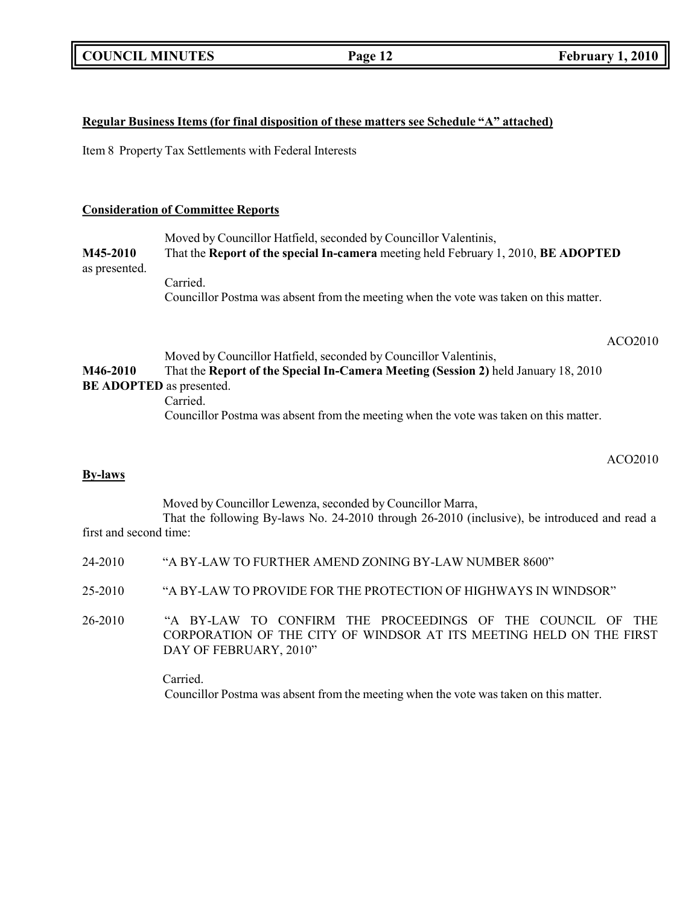## **Regular Business Items (for final disposition of these matters see Schedule "A" attached)**

Item 8 Property Tax Settlements with Federal Interests

## **Consideration of Committee Reports**

Moved by Councillor Hatfield, seconded by Councillor Valentinis, **M45-2010** That the **Report of the special In-camera** meeting held February 1, 2010, **BE ADOPTED** as presented. Carried. Councillor Postma was absent from the meeting when the vote was taken on this matter.

ACO2010

## Moved by Councillor Hatfield, seconded by Councillor Valentinis, **M46-2010** That the **Report of the Special In-Camera Meeting (Session 2)** held January 18, 2010 **BE ADOPTED** as presented. Carried. Councillor Postma was absent from the meeting when the vote was taken on this matter.

ACO2010

## **By-laws**

Moved by Councillor Lewenza, seconded by Councillor Marra, That the following By-laws No. 24-2010 through 26-2010 (inclusive), be introduced and read a first and second time:

- 24-2010 "A BY-LAW TO FURTHER AMEND ZONING BY-LAW NUMBER 8600"
- 25-2010 "A BY-LAW TO PROVIDE FOR THE PROTECTION OF HIGHWAYS IN WINDSOR"
- 26-2010 "A BY-LAW TO CONFIRM THE PROCEEDINGS OF THE COUNCIL OF THE CORPORATION OF THE CITY OF WINDSOR AT ITS MEETING HELD ON THE FIRST DAY OF FEBRUARY, 2010"

Carried. Councillor Postma was absent from the meeting when the vote was taken on this matter.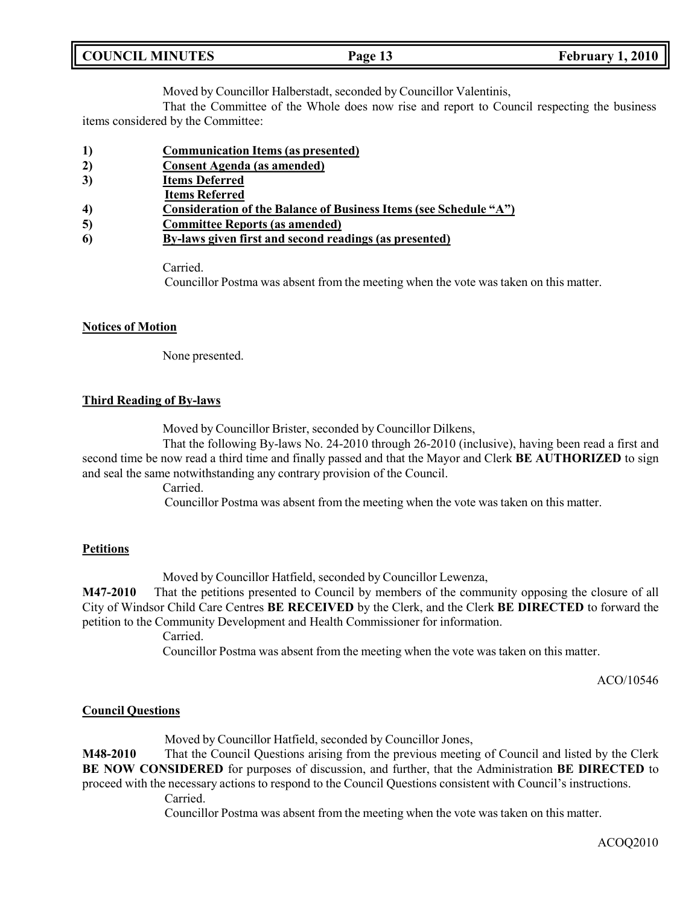| <b>COUNCIL MINUTES</b> |  |
|------------------------|--|
|                        |  |

Moved by Councillor Halberstadt, seconded by Councillor Valentinis,

That the Committee of the Whole does now rise and report to Council respecting the business items considered by the Committee:

- **1) Communication Items (as presented)**
- **2) Consent Agenda (as amended)**
- **3) Items Deferred**
- **Items Referred**
- **4) Consideration of the Balance of Business Items (see Schedule "A")**
- **5) Committee Reports (as amended)**
- **6) By-laws given first and second readings (as presented)**

Carried.

Councillor Postma was absent from the meeting when the vote was taken on this matter.

## **Notices of Motion**

None presented.

## **Third Reading of By-laws**

Moved by Councillor Brister, seconded by Councillor Dilkens,

That the following By-laws No. 24-2010 through 26-2010 (inclusive), having been read a first and second time be now read a third time and finally passed and that the Mayor and Clerk **BE AUTHORIZED** to sign and seal the same notwithstanding any contrary provision of the Council.

Carried.

Councillor Postma was absent from the meeting when the vote was taken on this matter.

## **Petitions**

Moved by Councillor Hatfield, seconded by Councillor Lewenza,

**M47-2010** That the petitions presented to Council by members of the community opposing the closure of all City of Windsor Child Care Centres **BE RECEIVED** by the Clerk, and the Clerk **BE DIRECTED** to forward the petition to the Community Development and Health Commissioner for information.

Carried.

Councillor Postma was absent from the meeting when the vote was taken on this matter.

ACO/10546

## **Council Questions**

Moved by Councillor Hatfield, seconded by Councillor Jones,

**M48-2010** That the Council Questions arising from the previous meeting of Council and listed by the Clerk **BE NOW CONSIDERED** for purposes of discussion, and further, that the Administration **BE DIRECTED** to proceed with the necessary actions to respond to the Council Questions consistent with Council's instructions.

Carried.

Councillor Postma was absent from the meeting when the vote was taken on this matter.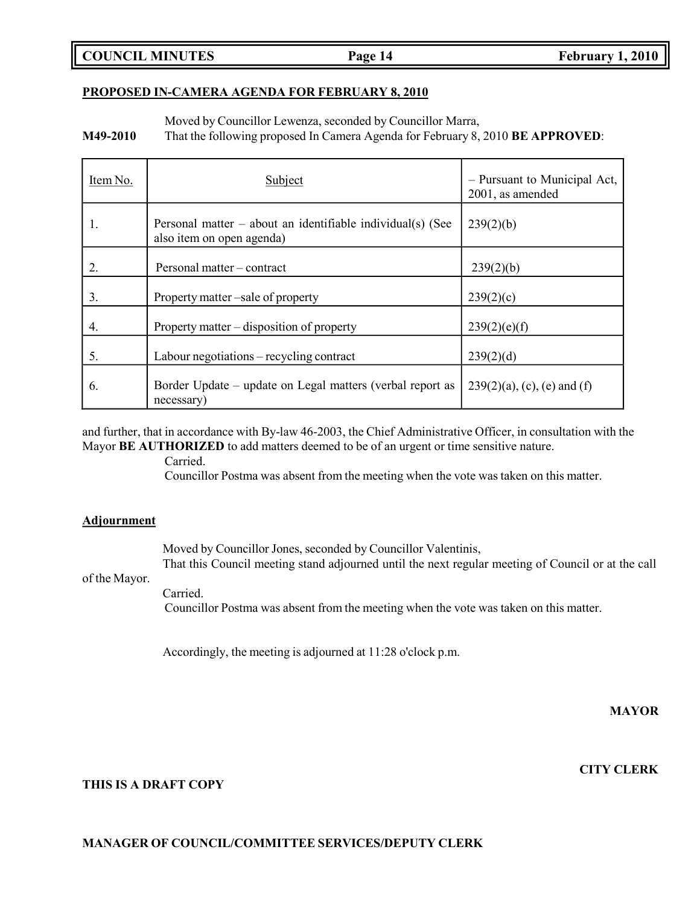## **COUNCIL MINUTES Page 14 February 1, 2010**

#### **PROPOSED IN-CAMERA AGENDA FOR FEBRUARY 8, 2010**

Moved by Councillor Lewenza, seconded by Councillor Marra,

**M49-2010** That the following proposed In Camera Agenda for February 8, 2010 **BE APPROVED**:

| Item No. | Subject                                                                                   | - Pursuant to Municipal Act,<br>2001, as amended |
|----------|-------------------------------------------------------------------------------------------|--------------------------------------------------|
| 1.       | Personal matter $-$ about an identifiable individual(s) (See<br>also item on open agenda) | 239(2)(b)                                        |
| 2.       | Personal matter – contract                                                                | 239(2)(b)                                        |
| 3.       | Property matter –sale of property                                                         | 239(2)(c)                                        |
| 4.       | Property matter $-$ disposition of property                                               | 239(2)(e)(f)                                     |
| 5.       | Labour negotiations – recycling contract                                                  | 239(2)(d)                                        |
| 6.       | Border Update – update on Legal matters (verbal report as<br>necessary)                   | $239(2)(a)$ , (c), (e) and (f)                   |

and further, that in accordance with By-law 46-2003, the Chief Administrative Officer, in consultation with the Mayor **BE AUTHORIZED** to add matters deemed to be of an urgent or time sensitive nature.

Carried.

Councillor Postma was absent from the meeting when the vote was taken on this matter.

#### **Adjournment**

Moved by Councillor Jones, seconded by Councillor Valentinis, That this Council meeting stand adjourned until the next regular meeting of Council or at the call

of the Mayor.

Carried. Councillor Postma was absent from the meeting when the vote was taken on this matter.

Accordingly, the meeting is adjourned at 11:28 o'clock p.m.

**MAYOR**

#### **CITY CLERK**

## **THIS IS A DRAFT COPY**

### **MANAGER OF COUNCIL/COMMITTEE SERVICES/DEPUTY CLERK**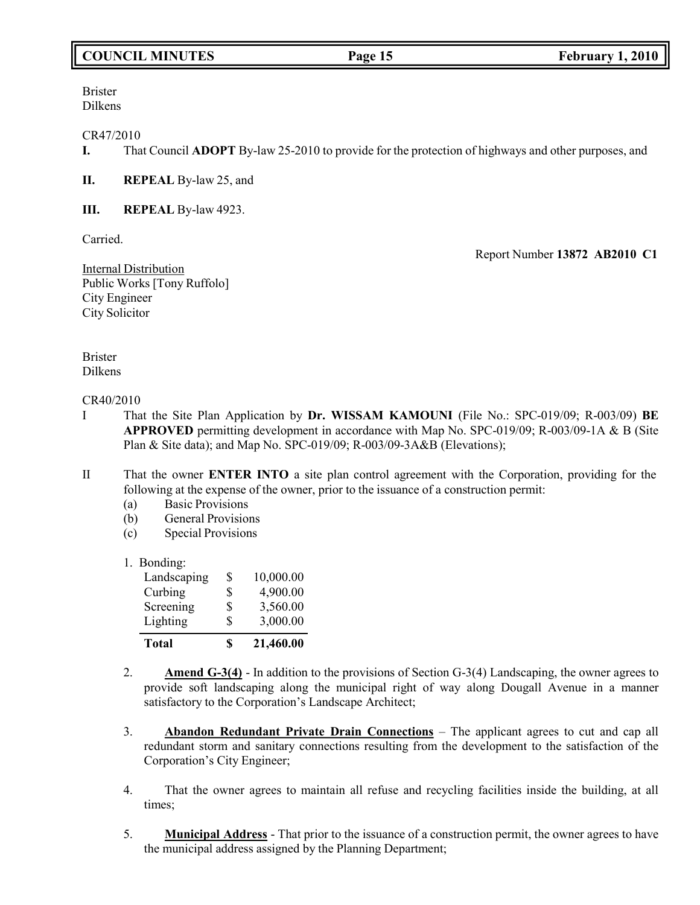## **COUNCIL MINUTES Page 15 February 1, 2010**

Brister Dilkens

### CR47/2010

**I.** That Council **ADOPT** By-law 25-2010 to provide for the protection of highways and other purposes, and

## **II. REPEAL** By-law 25, and

**III. REPEAL** By-law 4923.

Carried.

Report Number **13872 AB2010 C1**

Internal Distribution Public Works [Tony Ruffolo] City Engineer City Solicitor

Brister Dilkens

### CR40/2010

- I That the Site Plan Application by **Dr. WISSAM KAMOUNI** (File No.: SPC-019/09; R-003/09) **BE APPROVED** permitting development in accordance with Map No. SPC-019/09; R-003/09-1A & B (Site Plan & Site data); and Map No. SPC-019/09; R-003/09-3A&B (Elevations);
- II That the owner **ENTER INTO** a site plan control agreement with the Corporation, providing for the following at the expense of the owner, prior to the issuance of a construction permit:
	- (a) Basic Provisions
	- (b) General Provisions
	- (c) Special Provisions

1. Bonding:

| <b>Total</b> | \$<br>21,460.00 |
|--------------|-----------------|
| Lighting     | \$<br>3,000.00  |
| Screening    | \$<br>3,560.00  |
| Curbing      | \$<br>4,900.00  |
| Landscaping  | \$<br>10,000.00 |

- 2. **Amend G-3(4)** In addition to the provisions of Section G-3(4) Landscaping, the owner agrees to provide soft landscaping along the municipal right of way along Dougall Avenue in a manner satisfactory to the Corporation's Landscape Architect;
- 3. **Abandon Redundant Private Drain Connections** The applicant agrees to cut and cap all redundant storm and sanitary connections resulting from the development to the satisfaction of the Corporation's City Engineer;
- 4. That the owner agrees to maintain all refuse and recycling facilities inside the building, at all times;
- 5. **Municipal Address** That prior to the issuance of a construction permit, the owner agrees to have the municipal address assigned by the Planning Department;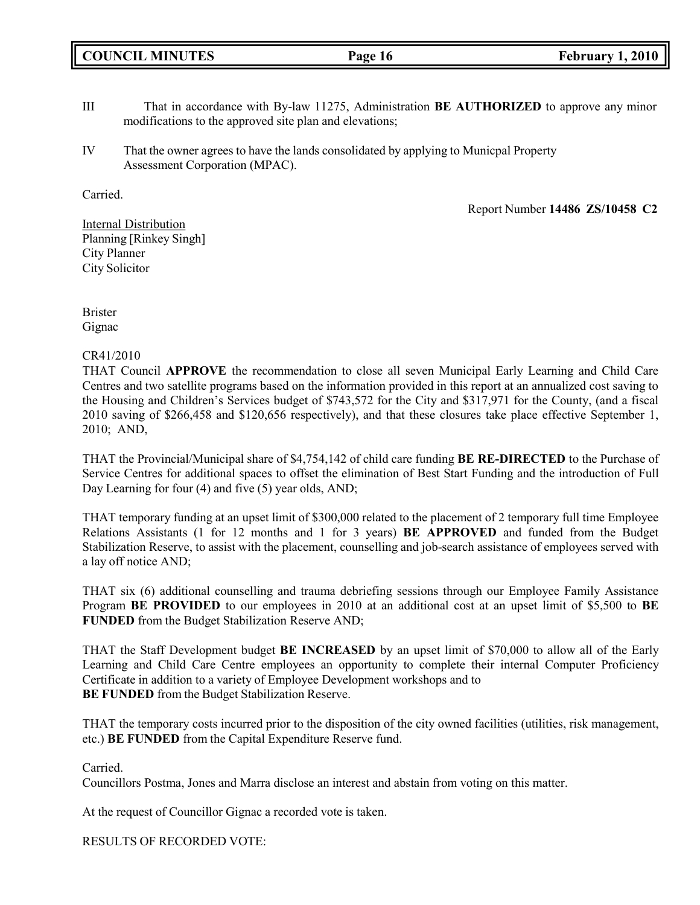|  | <b>COUNCIL MINUTES</b> |
|--|------------------------|
|--|------------------------|

- III That in accordance with By-law 11275, Administration **BE AUTHORIZED** to approve any minor modifications to the approved site plan and elevations;
- IV That the owner agrees to have the lands consolidated by applying to Municpal Property Assessment Corporation (MPAC).

Carried.

Report Number **14486 ZS/10458 C2**

Internal Distribution Planning [Rinkey Singh] City Planner City Solicitor

Brister Gignac

## CR41/2010

THAT Council **APPROVE** the recommendation to close all seven Municipal Early Learning and Child Care Centres and two satellite programs based on the information provided in this report at an annualized cost saving to the Housing and Children's Services budget of \$743,572 for the City and \$317,971 for the County, (and a fiscal 2010 saving of \$266,458 and \$120,656 respectively), and that these closures take place effective September 1, 2010; AND,

THAT the Provincial/Municipal share of \$4,754,142 of child care funding **BE RE-DIRECTED** to the Purchase of Service Centres for additional spaces to offset the elimination of Best Start Funding and the introduction of Full Day Learning for four (4) and five (5) year olds, AND;

THAT temporary funding at an upset limit of \$300,000 related to the placement of 2 temporary full time Employee Relations Assistants (1 for 12 months and 1 for 3 years) **BE APPROVED** and funded from the Budget Stabilization Reserve, to assist with the placement, counselling and job-search assistance of employees served with a lay off notice AND;

THAT six (6) additional counselling and trauma debriefing sessions through our Employee Family Assistance Program **BE PROVIDED** to our employees in 2010 at an additional cost at an upset limit of \$5,500 to **BE FUNDED** from the Budget Stabilization Reserve AND;

THAT the Staff Development budget **BE INCREASED** by an upset limit of \$70,000 to allow all of the Early Learning and Child Care Centre employees an opportunity to complete their internal Computer Proficiency Certificate in addition to a variety of Employee Development workshops and to **BE FUNDED** from the Budget Stabilization Reserve.

THAT the temporary costs incurred prior to the disposition of the city owned facilities (utilities, risk management, etc.) **BE FUNDED** from the Capital Expenditure Reserve fund.

Carried.

Councillors Postma, Jones and Marra disclose an interest and abstain from voting on this matter.

At the request of Councillor Gignac a recorded vote is taken.

RESULTS OF RECORDED VOTE: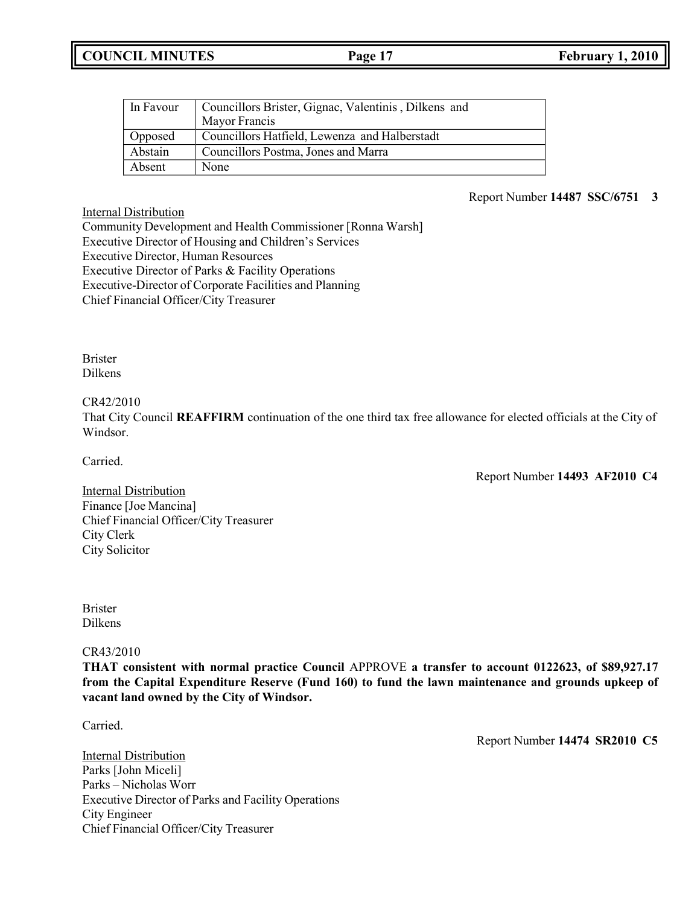| In Favour | Councillors Brister, Gignac, Valentinis, Dilkens and |
|-----------|------------------------------------------------------|
|           | Mayor Francis                                        |
| Opposed   | Councillors Hatfield, Lewenza and Halberstadt        |
| Abstain   | Councillors Postma, Jones and Marra                  |
| Absent    | None                                                 |

### Report Number **14487 SSC/6751 3**

Internal Distribution Community Development and Health Commissioner [Ronna Warsh] Executive Director of Housing and Children's Services Executive Director, Human Resources Executive Director of Parks & Facility Operations Executive-Director of Corporate Facilities and Planning Chief Financial Officer/City Treasurer

Brister Dilkens

CR42/2010

That City Council **REAFFIRM** continuation of the one third tax free allowance for elected officials at the City of Windsor.

Carried.

Report Number **14493 AF2010 C4**

Internal Distribution Finance [Joe Mancina] Chief Financial Officer/City Treasurer City Clerk City Solicitor

Brister Dilkens

CR43/2010

**THAT consistent with normal practice Council** APPROVE **a transfer to account 0122623, of \$89,927.17 from the Capital Expenditure Reserve (Fund 160) to fund the lawn maintenance and grounds upkeep of vacant land owned by the City of Windsor.**

Carried.

Report Number **14474 SR2010 C5**

Internal Distribution Parks [John Miceli] Parks – Nicholas Worr Executive Director of Parks and Facility Operations City Engineer Chief Financial Officer/City Treasurer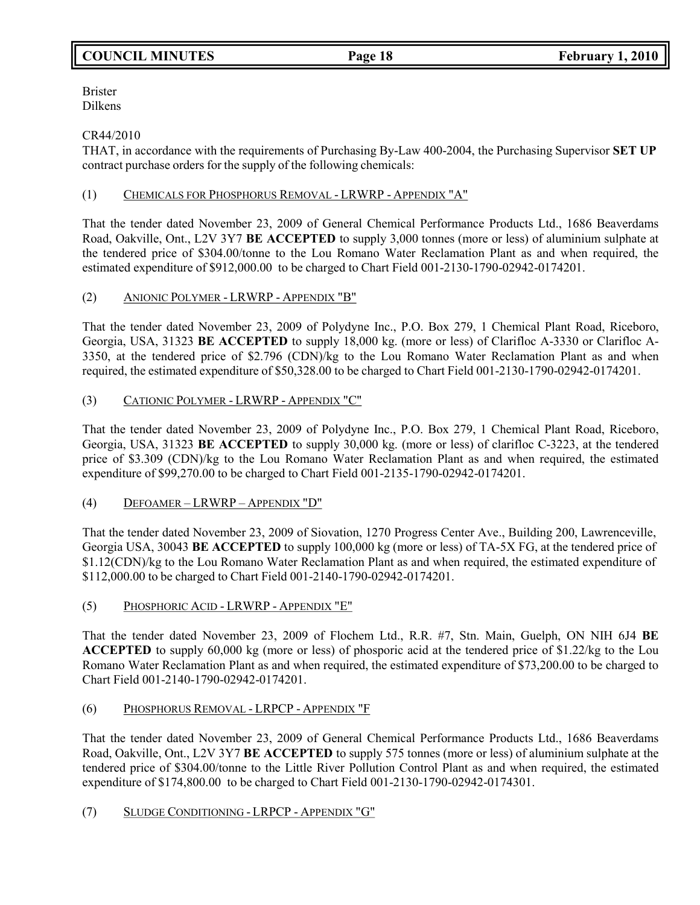## **COUNCIL MINUTES Page 18 February 1, 2010**

Brister Dilkens

## CR44/2010

THAT, in accordance with the requirements of Purchasing By-Law 400-2004, the Purchasing Supervisor **SET UP** contract purchase orders for the supply of the following chemicals:

## (1) CHEMICALS FOR PHOSPHORUS REMOVAL - LRWRP - APPENDIX "A"

That the tender dated November 23, 2009 of General Chemical Performance Products Ltd., 1686 Beaverdams Road, Oakville, Ont., L2V 3Y7 **BE ACCEPTED** to supply 3,000 tonnes (more or less) of aluminium sulphate at the tendered price of \$304.00/tonne to the Lou Romano Water Reclamation Plant as and when required, the estimated expenditure of \$912,000.00 to be charged to Chart Field 001-2130-1790-02942-0174201.

## (2) ANIONIC POLYMER - LRWRP - APPENDIX "B"

That the tender dated November 23, 2009 of Polydyne Inc., P.O. Box 279, 1 Chemical Plant Road, Riceboro, Georgia, USA, 31323 **BE ACCEPTED** to supply 18,000 kg. (more or less) of Clarifloc A-3330 or Clarifloc A-3350, at the tendered price of \$2.796 (CDN)/kg to the Lou Romano Water Reclamation Plant as and when required, the estimated expenditure of \$50,328.00 to be charged to Chart Field 001-2130-1790-02942-0174201.

## (3) CATIONIC POLYMER - LRWRP - APPENDIX "C"

That the tender dated November 23, 2009 of Polydyne Inc., P.O. Box 279, 1 Chemical Plant Road, Riceboro, Georgia, USA, 31323 **BE ACCEPTED** to supply 30,000 kg. (more or less) of clarifloc C-3223, at the tendered price of \$3.309 (CDN)/kg to the Lou Romano Water Reclamation Plant as and when required, the estimated expenditure of \$99,270.00 to be charged to Chart Field 001-2135-1790-02942-0174201.

## (4) DEFOAMER – LRWRP – APPENDIX "D"

That the tender dated November 23, 2009 of Siovation, 1270 Progress Center Ave., Building 200, Lawrenceville, Georgia USA, 30043 **BE ACCEPTED** to supply 100,000 kg (more or less) of TA-5X FG, at the tendered price of \$1.12(CDN)/kg to the Lou Romano Water Reclamation Plant as and when required, the estimated expenditure of \$112,000.00 to be charged to Chart Field 001-2140-1790-02942-0174201.

(5) PHOSPHORIC ACID - LRWRP - APPENDIX "E"

That the tender dated November 23, 2009 of Flochem Ltd., R.R. #7, Stn. Main, Guelph, ON NIH 6J4 **BE ACCEPTED** to supply 60,000 kg (more or less) of phosporic acid at the tendered price of \$1.22/kg to the Lou Romano Water Reclamation Plant as and when required, the estimated expenditure of \$73,200.00 to be charged to Chart Field 001-2140-1790-02942-0174201.

## (6) PHOSPHORUS REMOVAL - LRPCP - APPENDIX "F

That the tender dated November 23, 2009 of General Chemical Performance Products Ltd., 1686 Beaverdams Road, Oakville, Ont., L2V 3Y7 **BE ACCEPTED** to supply 575 tonnes (more or less) of aluminium sulphate at the tendered price of \$304.00/tonne to the Little River Pollution Control Plant as and when required, the estimated expenditure of \$174,800.00 to be charged to Chart Field 001-2130-1790-02942-0174301.

## (7) SLUDGE CONDITIONING - LRPCP - APPENDIX "G"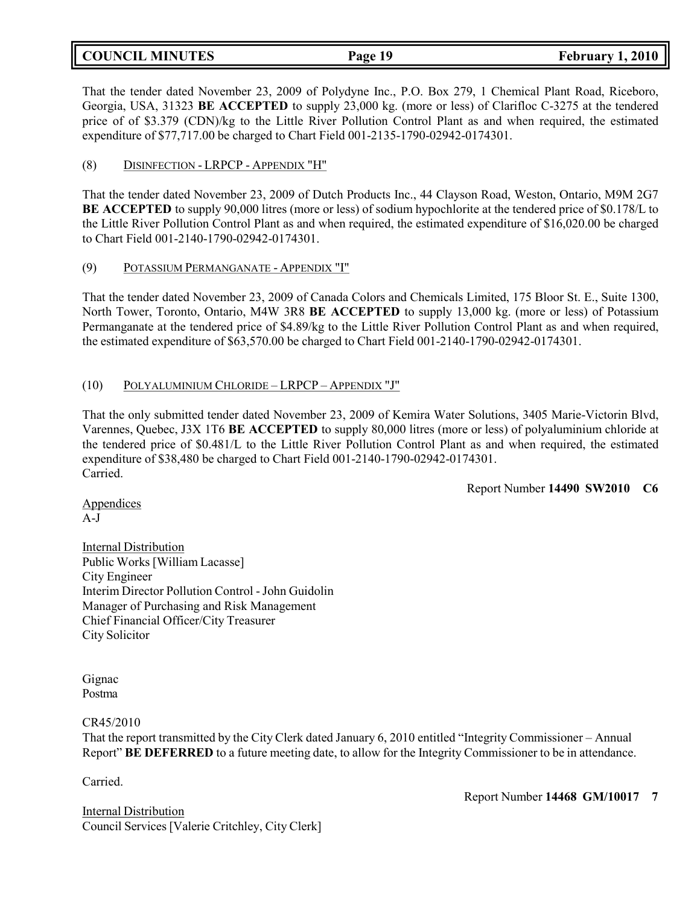## **COUNCIL MINUTES Page 19 February 1, 2010**

That the tender dated November 23, 2009 of Polydyne Inc., P.O. Box 279, 1 Chemical Plant Road, Riceboro, Georgia, USA, 31323 **BE ACCEPTED** to supply 23,000 kg. (more or less) of Clarifloc C-3275 at the tendered price of of \$3.379 (CDN)/kg to the Little River Pollution Control Plant as and when required, the estimated expenditure of \$77,717.00 be charged to Chart Field 001-2135-1790-02942-0174301.

## (8) DISINFECTION - LRPCP - APPENDIX "H"

That the tender dated November 23, 2009 of Dutch Products Inc., 44 Clayson Road, Weston, Ontario, M9M 2G7 **BE ACCEPTED** to supply 90,000 litres (more or less) of sodium hypochlorite at the tendered price of \$0.178/L to the Little River Pollution Control Plant as and when required, the estimated expenditure of \$16,020.00 be charged to Chart Field 001-2140-1790-02942-0174301.

## (9) POTASSIUM PERMANGANATE - APPENDIX "I"

That the tender dated November 23, 2009 of Canada Colors and Chemicals Limited, 175 Bloor St. E., Suite 1300, North Tower, Toronto, Ontario, M4W 3R8 **BE ACCEPTED** to supply 13,000 kg. (more or less) of Potassium Permanganate at the tendered price of \$4.89/kg to the Little River Pollution Control Plant as and when required, the estimated expenditure of \$63,570.00 be charged to Chart Field 001-2140-1790-02942-0174301.

## (10) POLYALUMINIUM CHLORIDE – LRPCP – APPENDIX "J"

That the only submitted tender dated November 23, 2009 of Kemira Water Solutions, 3405 Marie-Victorin Blvd, Varennes, Quebec, J3X 1T6 **BE ACCEPTED** to supply 80,000 litres (more or less) of polyaluminium chloride at the tendered price of \$0.481/L to the Little River Pollution Control Plant as and when required, the estimated expenditure of \$38,480 be charged to Chart Field 001-2140-1790-02942-0174301. Carried.

Report Number **14490 SW2010 C6**

Appendices A-J

**Internal Distribution** Public Works [William Lacasse] City Engineer Interim Director Pollution Control -John Guidolin Manager of Purchasing and Risk Management Chief Financial Officer/City Treasurer City Solicitor

Gignac Postma

## CR45/2010

That the report transmitted by the City Clerk dated January 6, 2010 entitled "Integrity Commissioner – Annual Report" **BE DEFERRED** to a future meeting date, to allow for the Integrity Commissioner to be in attendance.

Carried.

Internal Distribution Council Services [Valerie Critchley, City Clerk] Report Number **14468 GM/10017 7**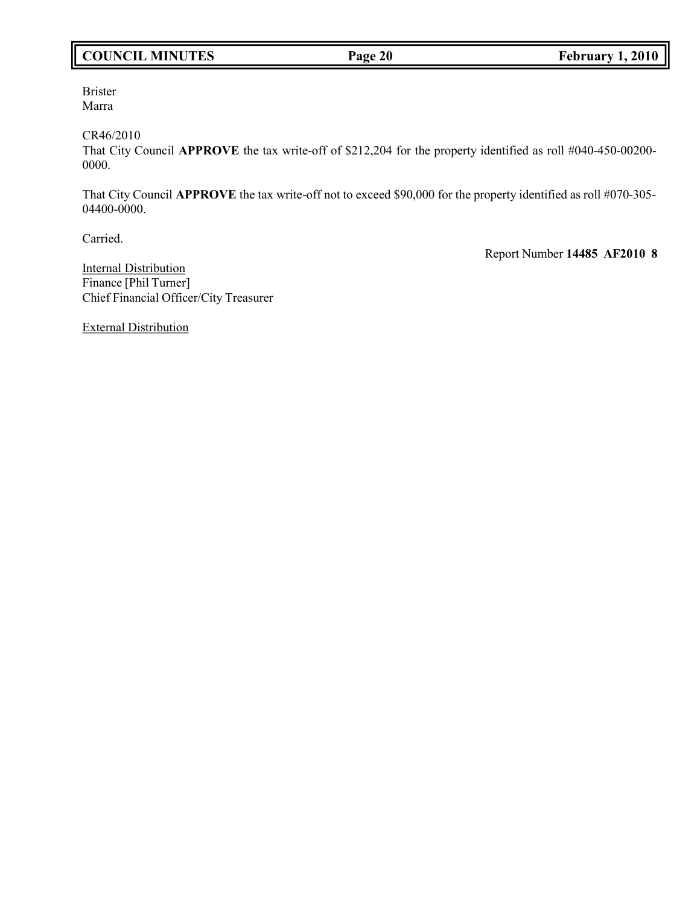## **COUNCIL MINUTES Page 20 February 1, 2010**

Brister Marra

CR46/2010

That City Council **APPROVE** the tax write-off of \$212,204 for the property identified as roll #040-450-00200- 0000.

That City Council **APPROVE** the tax write-off not to exceed \$90,000 for the property identified as roll #070-305- 04400-0000.

Carried.

Report Number **14485 AF2010 8**

**Internal Distribution** Finance [Phil Turner] Chief Financial Officer/City Treasurer

External Distribution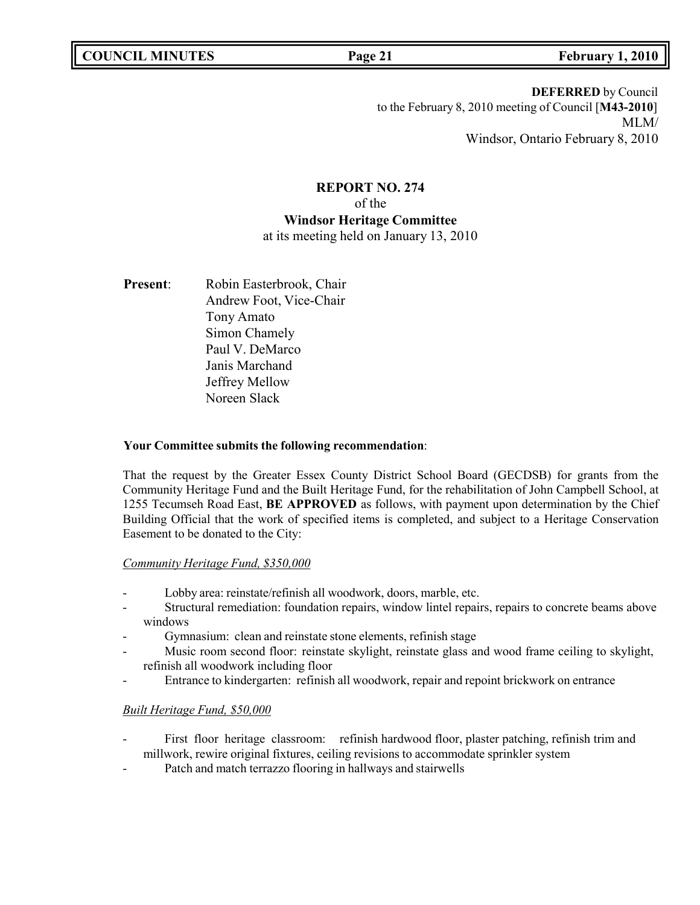**DEFERRED** by Council to the February 8, 2010 meeting of Council [**M43-2010**] MLM/ Windsor, Ontario February 8, 2010

## **REPORT NO. 274** of the **Windsor Heritage Committee**

at its meeting held on January 13, 2010

Present: Robin Easterbrook, Chair Andrew Foot, Vice-Chair Tony Amato Simon Chamely Paul V. DeMarco Janis Marchand Jeffrey Mellow Noreen Slack

## **Your Committee submits the following recommendation**:

That the request by the Greater Essex County District School Board (GECDSB) for grants from the Community Heritage Fund and the Built Heritage Fund, for the rehabilitation of John Campbell School, at 1255 Tecumseh Road East, **BE APPROVED** as follows, with payment upon determination by the Chief Building Official that the work of specified items is completed, and subject to a Heritage Conservation Easement to be donated to the City:

## *Community Heritage Fund, \$350,000*

- Lobby area: reinstate/refinish all woodwork, doors, marble, etc.
- Structural remediation: foundation repairs, window lintel repairs, repairs to concrete beams above windows
- Gymnasium: clean and reinstate stone elements, refinish stage
- Music room second floor: reinstate skylight, reinstate glass and wood frame ceiling to skylight, refinish all woodwork including floor
- Entrance to kindergarten: refinish all woodwork, repair and repoint brickwork on entrance

## *Built Heritage Fund, \$50,000*

- First floor heritage classroom: refinish hardwood floor, plaster patching, refinish trim and millwork, rewire original fixtures, ceiling revisions to accommodate sprinkler system
- Patch and match terrazzo flooring in hallways and stairwells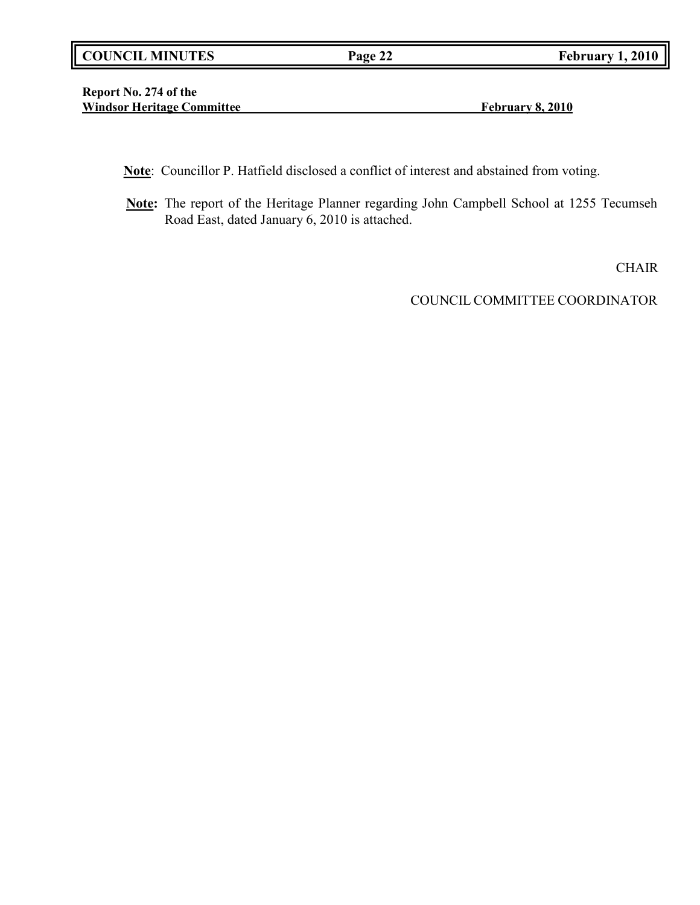|  | <b>COUNCIL MINUTES</b> |
|--|------------------------|
|--|------------------------|

**Report No. 274 of the Windsor Heritage Committee February 8, 2010**

**Note**: Councillor P. Hatfield disclosed a conflict of interest and abstained from voting.

**Note:** The report of the Heritage Planner regarding John Campbell School at 1255 Tecumseh Road East, dated January 6, 2010 is attached.

CHAIR

COUNCIL COMMITTEE COORDINATOR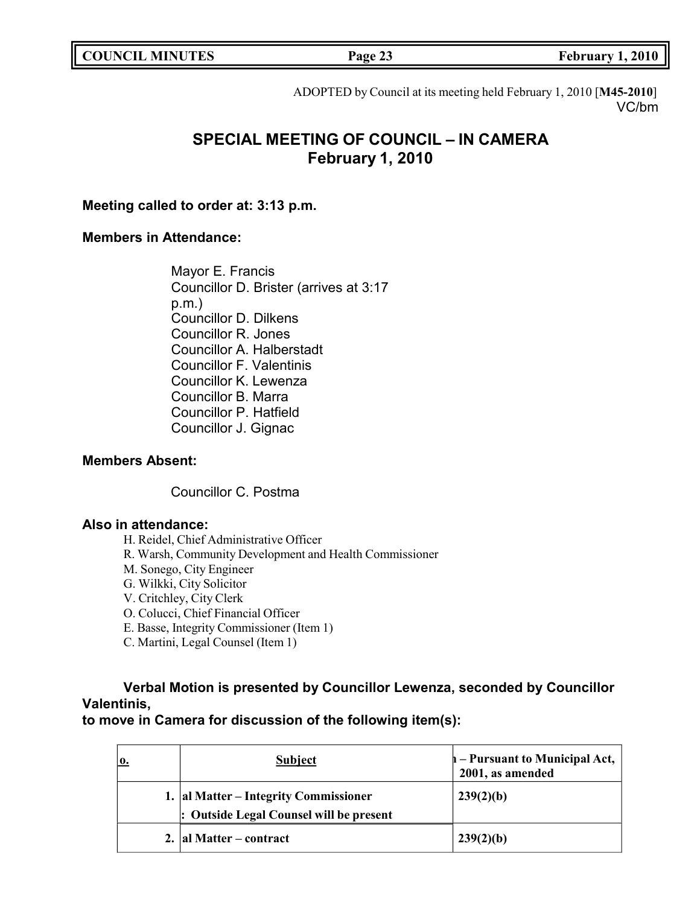**COUNCIL EXECUTE: Page 23 February** 1, 2010

ADOPTED by Council at its meeting held February 1, 2010 [**M45-2010**] VC/bm

# **SPECIAL MEETING OF COUNCIL – IN CAMERA February 1, 2010**

**Meeting called to order at: 3:13 p.m.**

## **Members in Attendance:**

Mayor E. Francis Councillor D. Brister (arrives at 3:17 p.m.) Councillor D. Dilkens Councillor R. Jones Councillor A. Halberstadt Councillor F. Valentinis Councillor K. Lewenza Councillor B. Marra Councillor P. Hatfield Councillor J. Gignac

## **Members Absent:**

Councillor C. Postma

## **Also in attendance:**

H. Reidel, Chief Administrative Officer

- R. Warsh, Community Development and Health Commissioner
- M. Sonego, City Engineer
- G. Wilkki, City Solicitor
- V. Critchley, City Clerk
- O. Colucci, Chief Financial Officer
- E. Basse, Integrity Commissioner (Item 1)
- C. Martini, Legal Counsel (Item 1)

**Verbal Motion is presented by Councillor Lewenza, seconded by Councillor Valentinis,**

**to move in Camera for discussion of the following item(s):**

| ю. | <b>Subject</b>                                                                   | $\mathbf{h}$ – Pursuant to Municipal Act,<br>2001, as amended |
|----|----------------------------------------------------------------------------------|---------------------------------------------------------------|
|    | 1. al Matter – Integrity Commissioner<br>: Outside Legal Counsel will be present | 239(2)(b)                                                     |
|    | 2.   al Matter – contract                                                        | 1239(2)(b)                                                    |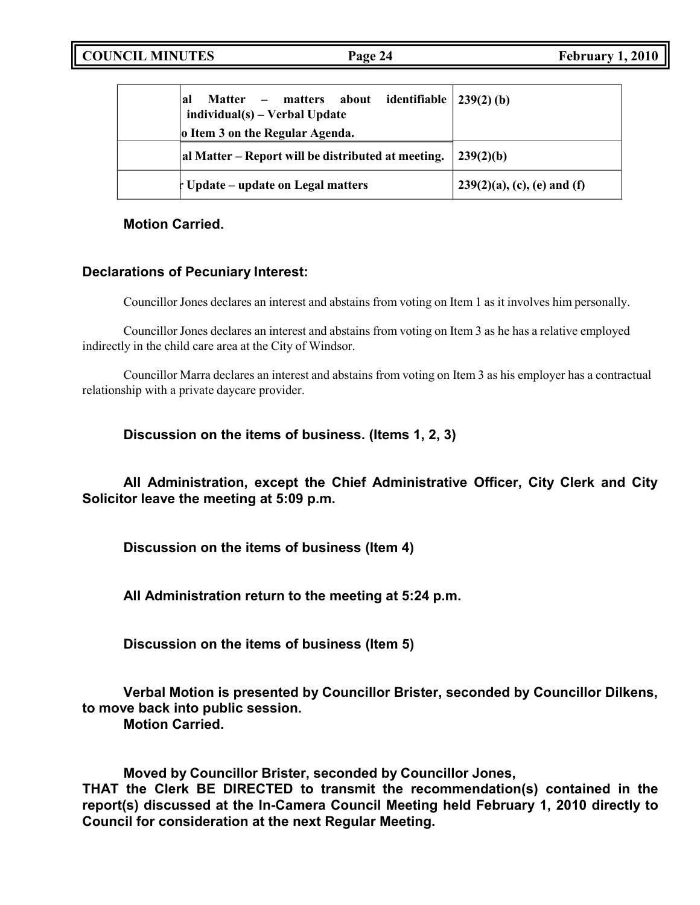| Matter – matters about identifiable<br> al<br>$individual(s) - Verbal Update$ | $(239(2)$ (b)                  |
|-------------------------------------------------------------------------------|--------------------------------|
| o Item 3 on the Regular Agenda.                                               |                                |
| al Matter – Report will be distributed at meeting.                            | 239(2)(b)                      |
| Update – update on Legal matters                                              | $239(2)(a)$ , (c), (e) and (f) |

**Motion Carried.**

## **Declarations of Pecuniary Interest:**

Councillor Jones declares an interest and abstains from voting on Item 1 as it involves him personally.

Councillor Jones declares an interest and abstains from voting on Item 3 as he has a relative employed indirectly in the child care area at the City of Windsor.

Councillor Marra declares an interest and abstains from voting on Item 3 as his employer has a contractual relationship with a private daycare provider.

**Discussion on the items of business. (Items 1, 2, 3)**

**All Administration, except the Chief Administrative Officer, City Clerk and City Solicitor leave the meeting at 5:09 p.m.**

**Discussion on the items of business (Item 4)**

**All Administration return to the meeting at 5:24 p.m.**

**Discussion on the items of business (Item 5)**

**Verbal Motion is presented by Councillor Brister, seconded by Councillor Dilkens, to move back into public session.**

**Motion Carried.**

**Moved by Councillor Brister, seconded by Councillor Jones, THAT the Clerk BE DIRECTED to transmit the recommendation(s) contained in the report(s) discussed at the In-Camera Council Meeting held February 1, 2010 directly to**

**Council for consideration at the next Regular Meeting.**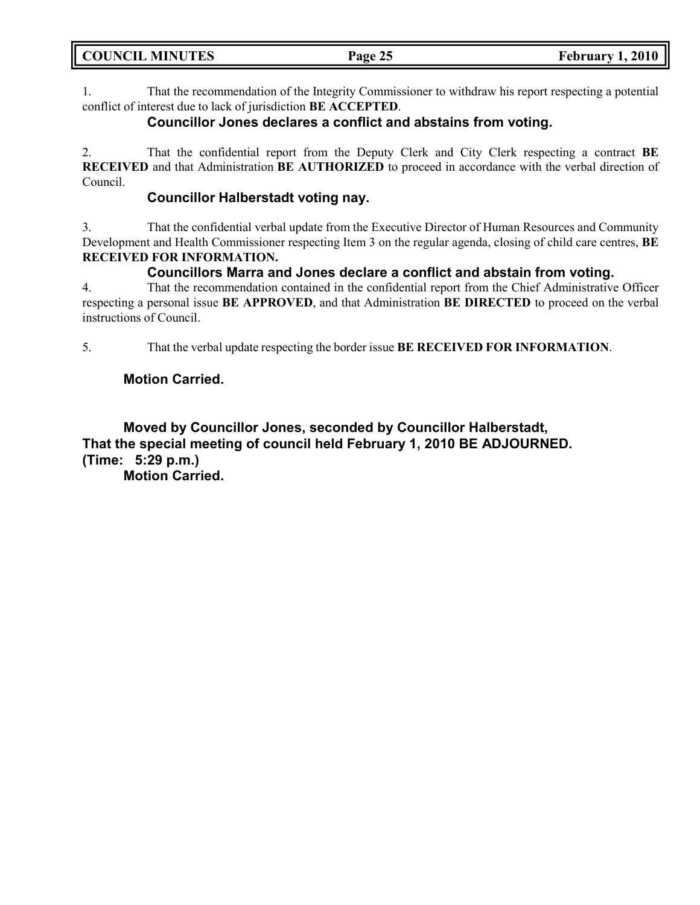| <b>COUNCIL MINUTES</b> | Page 25 | <b>February 1, 2010</b> |
|------------------------|---------|-------------------------|
|                        |         |                         |

1. That the recommendation of the Integrity Commissioner to withdraw his report respecting a potential conflict of interest due to lack of jurisdiction **BE ACCEPTED**.

## **Councillor Jones declares a conflict and abstains from voting.**

2. That the confidential report from the Deputy Clerk and City Clerk respecting a contract **BE RECEIVED** and that Administration **BE AUTHORIZED** to proceed in accordance with the verbal direction of Council.

## **Councillor Halberstadt voting nay.**

3. That the confidential verbal update from the Executive Director of Human Resources and Community Development and Health Commissioner respecting Item 3 on the regular agenda, closing of child care centres, **BE RECEIVED FOR INFORMATION.**

## **Councillors Marra and Jones declare a conflict and abstain from voting.**

4. That the recommendation contained in the confidential report from the Chief Administrative Officer respecting a personal issue **BE APPROVED**, and that Administration **BE DIRECTED** to proceed on the verbal instructions of Council.

5. That the verbal update respecting the border issue **BE RECEIVED FOR INFORMATION**.

## **Motion Carried.**

**Moved by Councillor Jones, seconded by Councillor Halberstadt, That the special meeting of council held February 1, 2010 BE ADJOURNED. (Time: 5:29 p.m.)**

**Motion Carried.**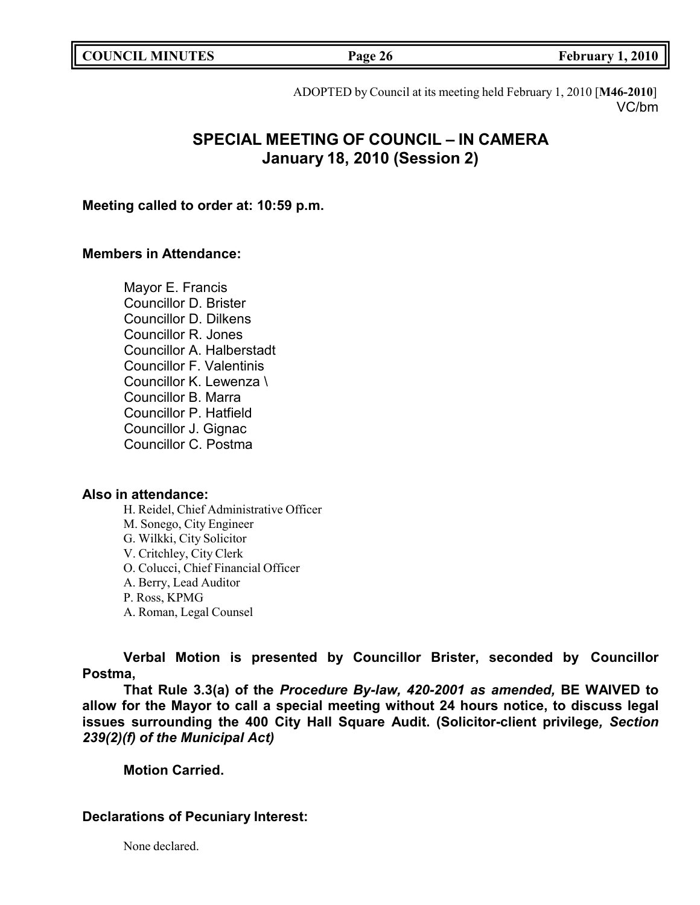| <b>COUNCIL MINUTES</b> |  |  |
|------------------------|--|--|
|------------------------|--|--|

**COUNCIL EXECUTE: Page 26 February** 1, 2010

ADOPTED by Council at its meeting held February 1, 2010 [**M46-2010**] VC/bm

# **SPECIAL MEETING OF COUNCIL – IN CAMERA January 18, 2010 (Session 2)**

**Meeting called to order at: 10:59 p.m.**

## **Members in Attendance:**

Mayor E. Francis Councillor D. Brister Councillor D. Dilkens Councillor R. Jones Councillor A. Halberstadt Councillor F. Valentinis Councillor K. Lewenza \ Councillor B. Marra Councillor P. Hatfield Councillor J. Gignac Councillor C. Postma

## **Also in attendance:**

H. Reidel, Chief Administrative Officer M. Sonego, City Engineer G. Wilkki, City Solicitor V. Critchley, City Clerk O. Colucci, Chief Financial Officer A. Berry, Lead Auditor P. Ross, KPMG A. Roman, Legal Counsel

**Verbal Motion is presented by Councillor Brister, seconded by Councillor Postma,**

**That Rule 3.3(a) of the** *Procedure By-law, 420-2001 as amended,* **BE WAIVED to allow for the Mayor to call a special meeting without 24 hours notice, to discuss legal issues surrounding the 400 City Hall Square Audit. (Solicitor-client privilege***, Section 239(2)(f) of the Municipal Act)*

**Motion Carried.**

## **Declarations of Pecuniary Interest:**

None declared.